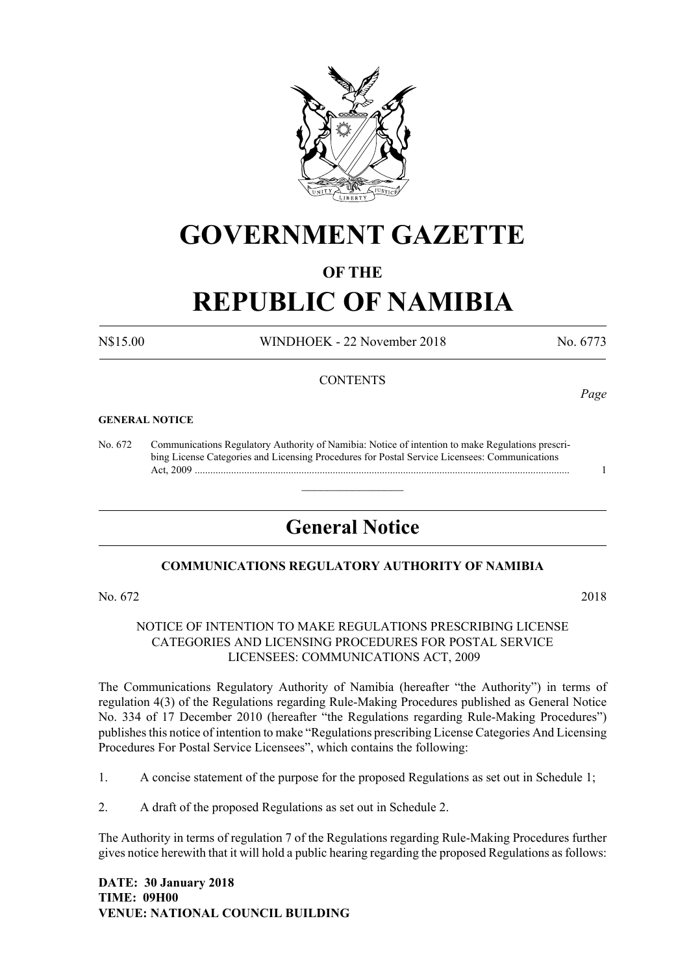

# **GOVERNMENT GAZETTE**

# **OF THE**

# **REPUBLIC OF NAMIBIA**

N\$15.00 WINDHOEK - 22 November 2018 No. 6773

*Page*

# **CONTENTS**

#### **GENERAL NOTICE**

No. 672 Communications Regulatory Authority of Namibia: Notice of intention to make Regulations prescri bing License Categories and Licensing Procedures for Postal Service Licensees: Communications Act, 2009 ................................................................................................................................................ 1

# **General Notice**

 $\overline{\phantom{a}}$  , where  $\overline{\phantom{a}}$ 

# **COMMUNICATIONS REGULATORY AUTHORITY OF NAMIBIA**

No. 672 2018

NOTICE OF INTENTION TO MAKE REGULATIONS PRESCRIBING LICENSE CATEGORIES AND LICENSING PROCEDURES FOR POSTAL SERVICE LICENSEES: COMMUNICATIONS ACT, 2009

The Communications Regulatory Authority of Namibia (hereafter "the Authority") in terms of regulation 4(3) of the Regulations regarding Rule-Making Procedures published as General Notice No. 334 of 17 December 2010 (hereafter "the Regulations regarding Rule-Making Procedures") publishes this notice of intention to make "Regulations prescribing License Categories And Licensing Procedures For Postal Service Licensees", which contains the following:

1. A concise statement of the purpose for the proposed Regulations as set out in Schedule 1;

2. A draft of the proposed Regulations as set out in Schedule 2.

The Authority in terms of regulation 7 of the Regulations regarding Rule-Making Procedures further gives notice herewith that it will hold a public hearing regarding the proposed Regulations as follows:

**DATE: 30 January 2018 TIME: 09H00 VENUE: NATIONAL COUNCIL BUILDING**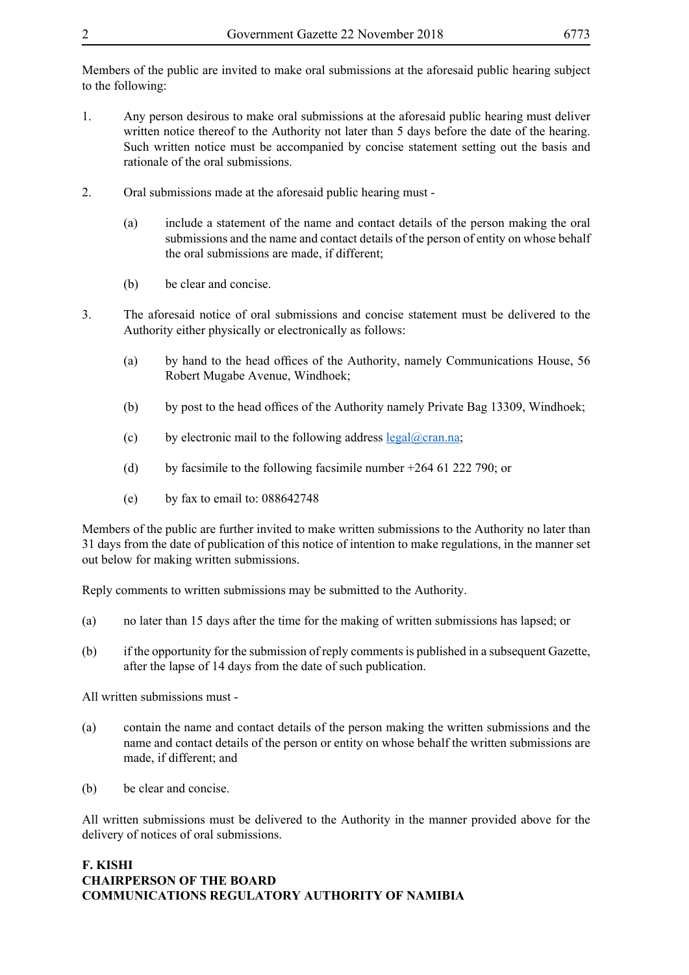Members of the public are invited to make oral submissions at the aforesaid public hearing subject to the following:

- 1. Any person desirous to make oral submissions at the aforesaid public hearing must deliver written notice thereof to the Authority not later than 5 days before the date of the hearing. Such written notice must be accompanied by concise statement setting out the basis and rationale of the oral submissions.
- 2. Oral submissions made at the aforesaid public hearing must
	- (a) include a statement of the name and contact details of the person making the oral submissions and the name and contact details of the person of entity on whose behalf the oral submissions are made, if different;
	- (b) be clear and concise.
- 3. The aforesaid notice of oral submissions and concise statement must be delivered to the Authority either physically or electronically as follows:
	- (a) by hand to the head offices of the Authority, namely Communications House, 56 Robert Mugabe Avenue, Windhoek;
	- (b) by post to the head offices of the Authority namely Private Bag 13309, Windhoek;
	- (c) by electronic mail to the following address  $\text{legal}(\alpha)$ cran.na;
	- (d) by facsimile to the following facsimile number +264 61 222 790; or
	- (e) by fax to email to: 088642748

Members of the public are further invited to make written submissions to the Authority no later than 31 days from the date of publication of this notice of intention to make regulations, in the manner set out below for making written submissions.

Reply comments to written submissions may be submitted to the Authority.

- (a) no later than 15 days after the time for the making of written submissions has lapsed; or
- (b) if the opportunity for the submission of reply comments is published in a subsequent Gazette, after the lapse of 14 days from the date of such publication.

All written submissions must -

- (a) contain the name and contact details of the person making the written submissions and the name and contact details of the person or entity on whose behalf the written submissions are made, if different; and
- (b) be clear and concise.

All written submissions must be delivered to the Authority in the manner provided above for the delivery of notices of oral submissions.

# **F. KISHI CHAIRPERSON OF THE BOARD COMMUNICATIONS REGULATORY AUTHORITY OF NAMIBIA**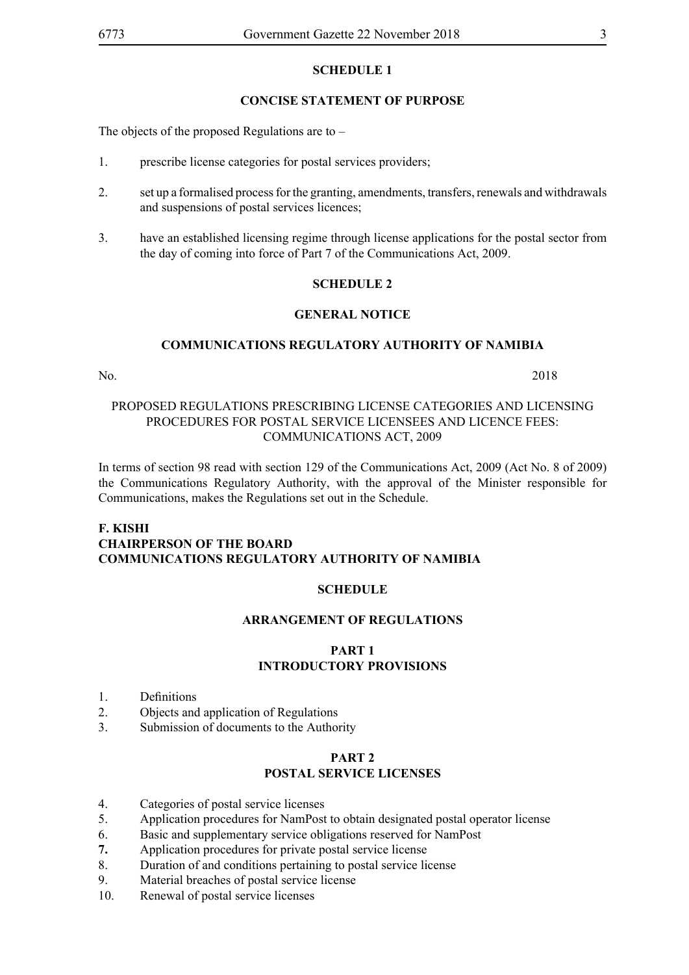# **SCHEDULE 1**

# **CONCISE STATEMENT OF PURPOSE**

The objects of the proposed Regulations are to –

- 1. prescribe license categories for postal services providers;
- 2. set up a formalised process for the granting, amendments, transfers, renewals and withdrawals and suspensions of postal services licences;
- 3. have an established licensing regime through license applications for the postal sector from the day of coming into force of Part 7 of the Communications Act, 2009.

## **SCHEDULE 2**

## **GENERAL NOTICE**

## **COMMUNICATIONS REGULATORY AUTHORITY OF NAMIBIA**

No. 2018

# PROPOSED REGULATIONS PRESCRIBING LICENSE CATEGORIES AND LICENSING PROCEDURES FOR POSTAL SERVICE LICENSEES AND LICENCE FEES: COMMUNICATIONS ACT, 2009

In terms of section 98 read with section 129 of the Communications Act, 2009 (Act No. 8 of 2009) the Communications Regulatory Authority, with the approval of the Minister responsible for Communications, makes the Regulations set out in the Schedule.

# **F. KISHI CHAIRPERSON OF THE BOARD COMMUNICATIONS REGULATORY AUTHORITY OF NAMIBIA**

## **SCHEDULE**

## **ARRANGEMENT OF REGULATIONS**

## **PART 1 INTRODUCTORY PROVISIONS**

- 1. Definitions
- 2. Objects and application of Regulations
- 3. Submission of documents to the Authority

# **PART 2 POSTAL SERVICE LICENSES**

- 4. Categories of postal service licenses
- 5. Application procedures for NamPost to obtain designated postal operator license
- 6. Basic and supplementary service obligations reserved for NamPost
- **7.** Application procedures for private postal service license
- 8. Duration of and conditions pertaining to postal service license
- 9. Material breaches of postal service license
- 10. Renewal of postal service licenses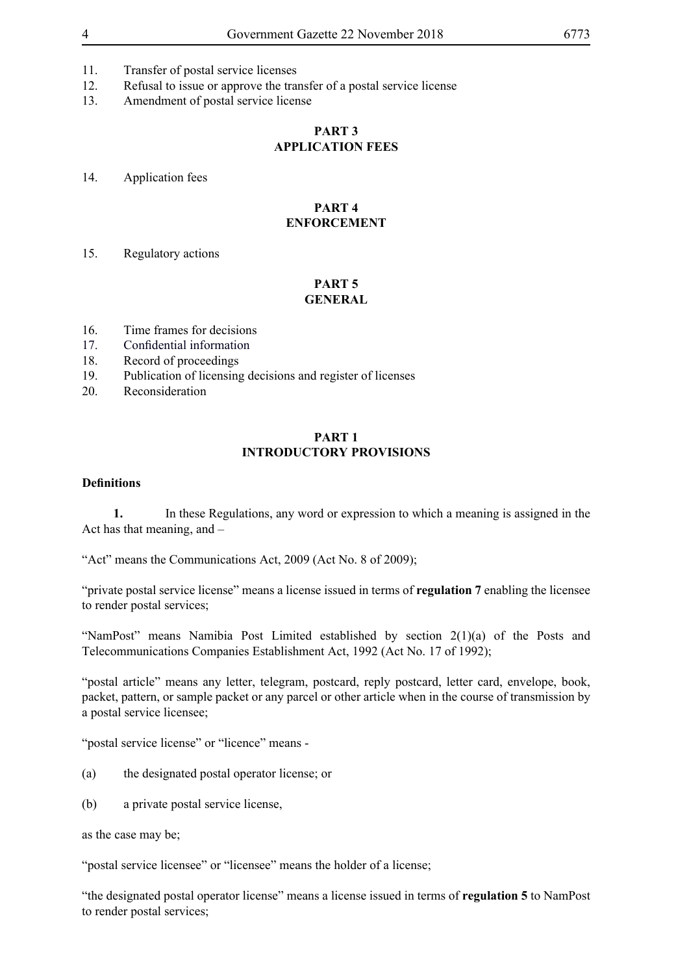- 11. Transfer of postal service licenses
- 12. Refusal to issue or approve the transfer of a postal service license
- 13. Amendment of postal service license

# **PART 3 APPLICATION FEES**

14. Application fees

## **PART 4 ENFORCEMENT**

## 15. Regulatory actions

## **PART 5 GENERAL**

- 16. Time frames for decisions
- 17. Confidential information
- 18. Record of proceedings
- 19. Publication of licensing decisions and register of licenses
- 20. Reconsideration

# **PART 1 INTRODUCTORY PROVISIONS**

## **Definitions**

**1.** In these Regulations, any word or expression to which a meaning is assigned in the Act has that meaning, and –

"Act" means the Communications Act, 2009 (Act No. 8 of 2009);

"private postal service license" means a license issued in terms of **regulation 7** enabling the licensee to render postal services;

"NamPost" means Namibia Post Limited established by section 2(1)(a) of the Posts and Telecommunications Companies Establishment Act, 1992 (Act No. 17 of 1992);

"postal article" means any letter, telegram, postcard, reply postcard, letter card, envelope, book, packet, pattern, or sample packet or any parcel or other article when in the course of transmission by a postal service licensee;

"postal service license" or "licence" means -

- (a) the designated postal operator license; or
- (b) a private postal service license,

as the case may be;

"postal service licensee" or "licensee" means the holder of a license;

"the designated postal operator license" means a license issued in terms of **regulation 5** to NamPost to render postal services;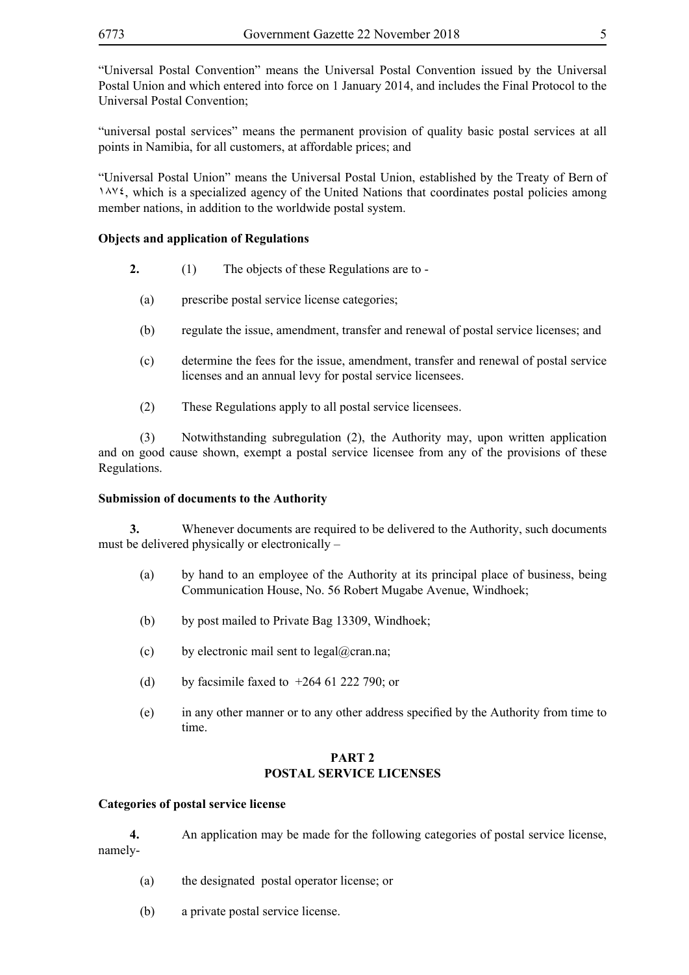"Universal Postal Convention" means the Universal Postal Convention issued by the Universal Postal Union and which entered into force on 1 January 2014, and includes the Final Protocol to the Universal Postal Convention;

"universal postal services" means the permanent provision of quality basic postal services at all points in Namibia, for all customers, at affordable prices; and

"Universal Postal Union" means the Universal Postal Union, established by the Treaty of Bern of 1874, which is a specialized agency of the United Nations that coordinates postal policies among member nations, in addition to the worldwide postal system.

# **Objects and application of Regulations**

- **2.** (1) The objects of these Regulations are to
	- (a) prescribe postal service license categories;
	- (b) regulate the issue, amendment, transfer and renewal of postal service licenses; and
	- (c) determine the fees for the issue, amendment, transfer and renewal of postal service licenses and an annual levy for postal service licensees.
	- (2) These Regulations apply to all postal service licensees.

(3) Notwithstanding subregulation (2), the Authority may, upon written application and on good cause shown, exempt a postal service licensee from any of the provisions of these Regulations.

## **Submission of documents to the Authority**

**3.** Whenever documents are required to be delivered to the Authority, such documents must be delivered physically or electronically –

- (a) by hand to an employee of the Authority at its principal place of business, being Communication House, No. 56 Robert Mugabe Avenue, Windhoek;
- (b) by post mailed to Private Bag 13309, Windhoek;
- (c) by electronic mail sent to legal@cran.na;
- (d) by facsimile faxed to  $+264$  61 222 790; or
- (e) in any other manner or to any other address specified by the Authority from time to time.

# **PART 2 POSTAL SERVICE LICENSES**

## **Categories of postal service license**

**4.** An application may be made for the following categories of postal service license, namely-

- (a) the designated postal operator license; or
- (b) a private postal service license.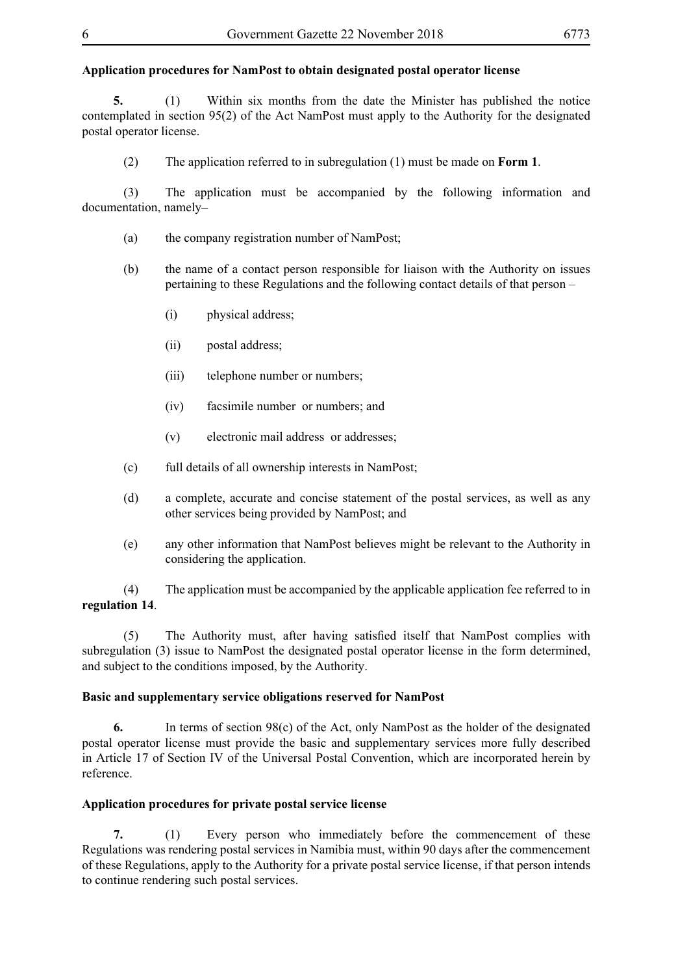# **Application procedures for NamPost to obtain designated postal operator license**

**5.** (1) Within six months from the date the Minister has published the notice contemplated in section 95(2) of the Act NamPost must apply to the Authority for the designated postal operator license.

(2) The application referred to in subregulation (1) must be made on **Form 1**.

(3) The application must be accompanied by the following information and documentation, namely–

- (a) the company registration number of NamPost;
- (b) the name of a contact person responsible for liaison with the Authority on issues pertaining to these Regulations and the following contact details of that person –
	- (i) physical address;
	- (ii) postal address;
	- (iii) telephone number or numbers;
	- (iv) facsimile number or numbers; and
	- (v) electronic mail address or addresses;
- (c) full details of all ownership interests in NamPost;
- (d) a complete, accurate and concise statement of the postal services, as well as any other services being provided by NamPost; and
- (e) any other information that NamPost believes might be relevant to the Authority in considering the application.

(4) The application must be accompanied by the applicable application fee referred to in **regulation 14**.

(5) The Authority must, after having satisfied itself that NamPost complies with subregulation (3) issue to NamPost the designated postal operator license in the form determined, and subject to the conditions imposed, by the Authority.

## **Basic and supplementary service obligations reserved for NamPost**

**6.** In terms of section 98(c) of the Act, only NamPost as the holder of the designated postal operator license must provide the basic and supplementary services more fully described in Article 17 of Section IV of the Universal Postal Convention, which are incorporated herein by reference.

# **Application procedures for private postal service license**

**7.** (1) Every person who immediately before the commencement of these Regulations was rendering postal services in Namibia must, within 90 days after the commencement of these Regulations, apply to the Authority for a private postal service license, if that person intends to continue rendering such postal services.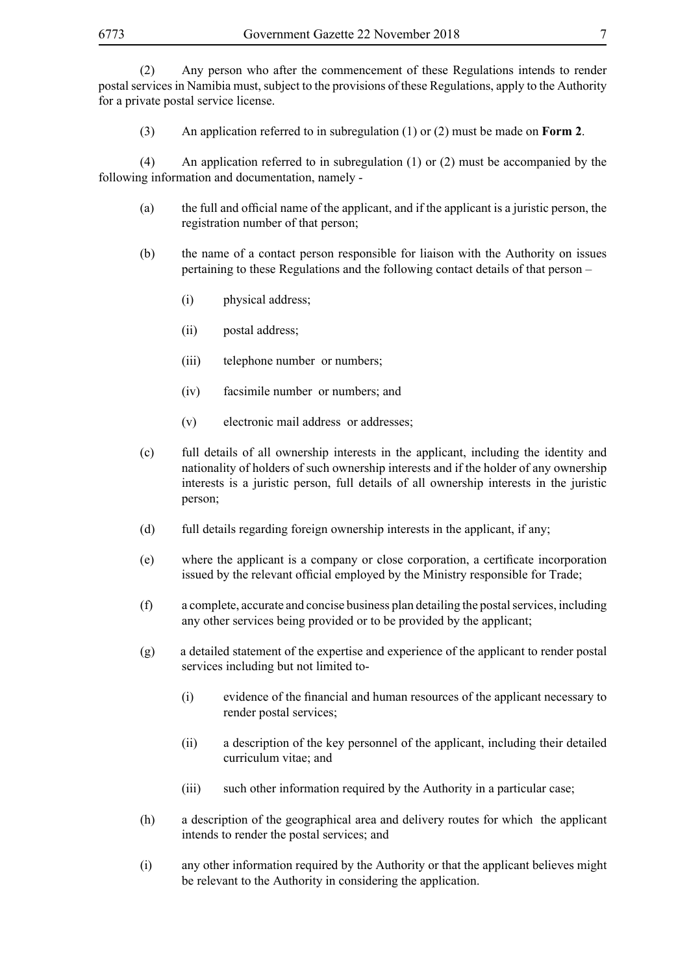(2) Any person who after the commencement of these Regulations intends to render postal services in Namibia must, subject to the provisions of these Regulations, apply to the Authority for a private postal service license.

(3) An application referred to in subregulation (1) or (2) must be made on **Form 2**.

(4) An application referred to in subregulation (1) or (2) must be accompanied by the following information and documentation, namely -

- (a) the full and official name of the applicant, and if the applicant is a juristic person, the registration number of that person;
- (b) the name of a contact person responsible for liaison with the Authority on issues pertaining to these Regulations and the following contact details of that person –
	- (i) physical address;
	- (ii) postal address;
	- (iii) telephone number or numbers;
	- (iv) facsimile number or numbers; and
	- (v) electronic mail address or addresses;
- (c) full details of all ownership interests in the applicant, including the identity and nationality of holders of such ownership interests and if the holder of any ownership interests is a juristic person, full details of all ownership interests in the juristic person;
- (d) full details regarding foreign ownership interests in the applicant, if any;
- (e) where the applicant is a company or close corporation, a certificate incorporation issued by the relevant official employed by the Ministry responsible for Trade;
- (f) a complete, accurate and concise business plan detailing the postal services, including any other services being provided or to be provided by the applicant;
- (g) a detailed statement of the expertise and experience of the applicant to render postal services including but not limited to-
	- (i) evidence of the financial and human resources of the applicant necessary to render postal services;
	- (ii) a description of the key personnel of the applicant, including their detailed curriculum vitae; and
	- (iii) such other information required by the Authority in a particular case;
- (h) a description of the geographical area and delivery routes for which the applicant intends to render the postal services; and
- (i) any other information required by the Authority or that the applicant believes might be relevant to the Authority in considering the application.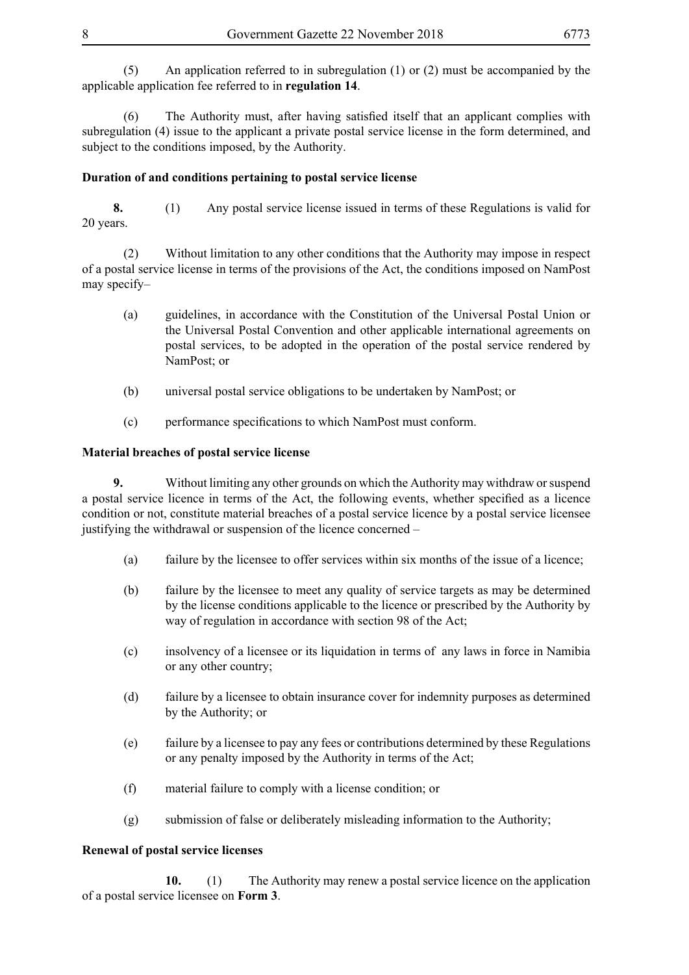(5) An application referred to in subregulation (1) or (2) must be accompanied by the applicable application fee referred to in **regulation 14**.

(6) The Authority must, after having satisfied itself that an applicant complies with subregulation (4) issue to the applicant a private postal service license in the form determined, and subject to the conditions imposed, by the Authority.

## **Duration of and conditions pertaining to postal service license**

**8.** (1) Any postal service license issued in terms of these Regulations is valid for 20 years.

(2) Without limitation to any other conditions that the Authority may impose in respect of a postal service license in terms of the provisions of the Act, the conditions imposed on NamPost may specify–

- (a) guidelines, in accordance with the Constitution of the Universal Postal Union or the Universal Postal Convention and other applicable international agreements on postal services, to be adopted in the operation of the postal service rendered by NamPost; or
- (b) universal postal service obligations to be undertaken by NamPost; or
- (c) performance specifications to which NamPost must conform.

# **Material breaches of postal service license**

**9.** Without limiting any other grounds on which the Authority may withdraw or suspend a postal service licence in terms of the Act, the following events, whether specified as a licence condition or not, constitute material breaches of a postal service licence by a postal service licensee justifying the withdrawal or suspension of the licence concerned –

- (a) failure by the licensee to offer services within six months of the issue of a licence;
- (b) failure by the licensee to meet any quality of service targets as may be determined by the license conditions applicable to the licence or prescribed by the Authority by way of regulation in accordance with section 98 of the Act;
- (c) insolvency of a licensee or its liquidation in terms of any laws in force in Namibia or any other country;
- (d) failure by a licensee to obtain insurance cover for indemnity purposes as determined by the Authority; or
- (e) failure by a licensee to pay any fees or contributions determined by these Regulations or any penalty imposed by the Authority in terms of the Act;
- (f) material failure to comply with a license condition; or
- (g) submission of false or deliberately misleading information to the Authority;

## **Renewal of postal service licenses**

 **10.** (1) The Authority may renew a postal service licence on the application of a postal service licensee on **Form 3**.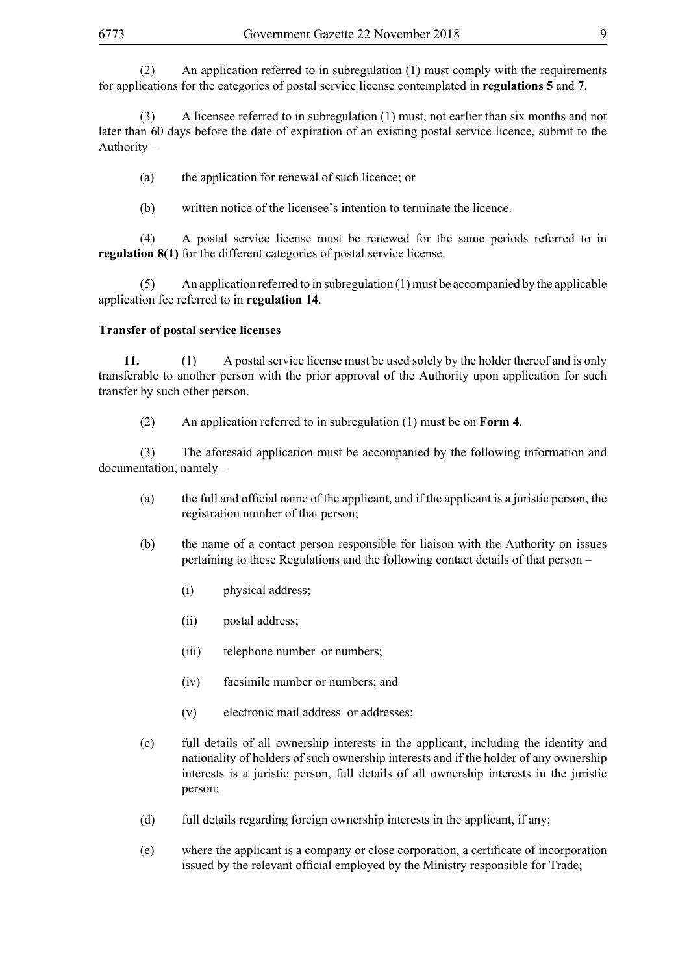(2) An application referred to in subregulation (1) must comply with the requirements for applications for the categories of postal service license contemplated in **regulations 5** and **7**.

(3) A licensee referred to in subregulation (1) must, not earlier than six months and not later than 60 days before the date of expiration of an existing postal service licence, submit to the Authority –

(a) the application for renewal of such licence; or

(b) written notice of the licensee's intention to terminate the licence.

(4) A postal service license must be renewed for the same periods referred to in **regulation 8(1)** for the different categories of postal service license.

(5) An application referred to in subregulation (1) must be accompanied by the applicable application fee referred to in **regulation 14**.

## **Transfer of postal service licenses**

**11.** (1) A postal service license must be used solely by the holder thereof and is only transferable to another person with the prior approval of the Authority upon application for such transfer by such other person.

(2) An application referred to in subregulation (1) must be on **Form 4**.

(3) The aforesaid application must be accompanied by the following information and documentation, namely –

- (a) the full and official name of the applicant, and if the applicant is a juristic person, the registration number of that person;
- (b) the name of a contact person responsible for liaison with the Authority on issues pertaining to these Regulations and the following contact details of that person –
	- (i) physical address;
	- (ii) postal address;
	- (iii) telephone number or numbers;
	- (iv) facsimile number or numbers; and
	- (v) electronic mail address or addresses;
- (c) full details of all ownership interests in the applicant, including the identity and nationality of holders of such ownership interests and if the holder of any ownership interests is a juristic person, full details of all ownership interests in the juristic person;
- (d) full details regarding foreign ownership interests in the applicant, if any;
- (e) where the applicant is a company or close corporation, a certificate of incorporation issued by the relevant official employed by the Ministry responsible for Trade;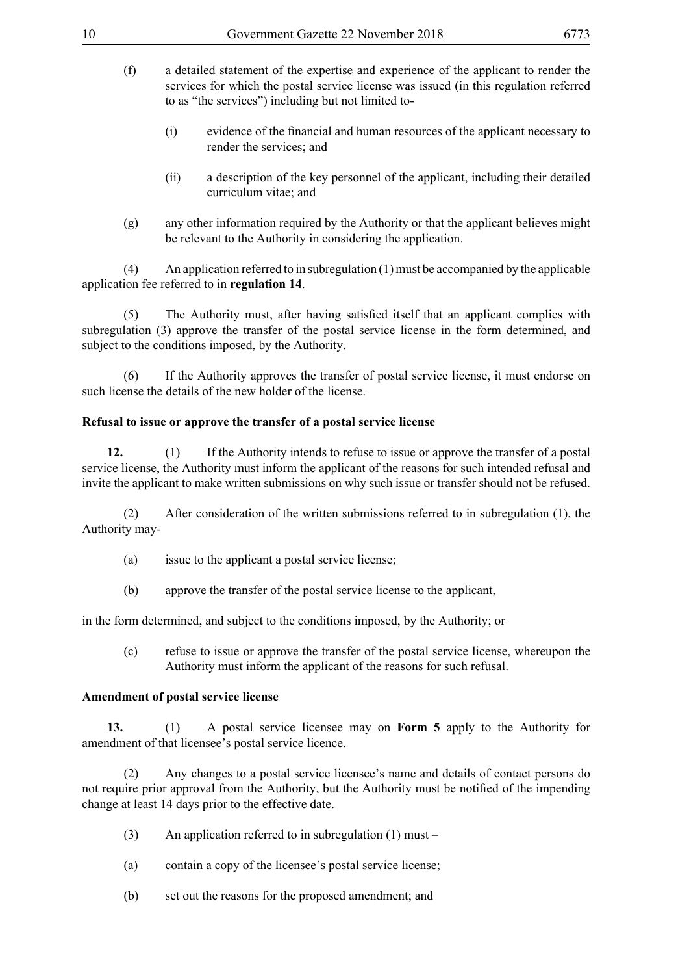- (f) a detailed statement of the expertise and experience of the applicant to render the services for which the postal service license was issued (in this regulation referred to as "the services") including but not limited to-
	- (i) evidence of the financial and human resources of the applicant necessary to render the services; and
	- (ii) a description of the key personnel of the applicant, including their detailed curriculum vitae; and
- (g) any other information required by the Authority or that the applicant believes might be relevant to the Authority in considering the application.

(4) An application referred to in subregulation (1) must be accompanied by the applicable application fee referred to in **regulation 14**.

(5) The Authority must, after having satisfied itself that an applicant complies with subregulation (3) approve the transfer of the postal service license in the form determined, and subject to the conditions imposed, by the Authority.

(6) If the Authority approves the transfer of postal service license, it must endorse on such license the details of the new holder of the license.

# **Refusal to issue or approve the transfer of a postal service license**

**12.** (1) If the Authority intends to refuse to issue or approve the transfer of a postal service license, the Authority must inform the applicant of the reasons for such intended refusal and invite the applicant to make written submissions on why such issue or transfer should not be refused.

(2) After consideration of the written submissions referred to in subregulation (1), the Authority may-

- (a) issue to the applicant a postal service license;
- (b) approve the transfer of the postal service license to the applicant,

in the form determined, and subject to the conditions imposed, by the Authority; or

(c) refuse to issue or approve the transfer of the postal service license, whereupon the Authority must inform the applicant of the reasons for such refusal.

## **Amendment of postal service license**

**13.** (1) A postal service licensee may on **Form 5** apply to the Authority for amendment of that licensee's postal service licence.

(2) Any changes to a postal service licensee's name and details of contact persons do not require prior approval from the Authority, but the Authority must be notified of the impending change at least 14 days prior to the effective date.

- (3) An application referred to in subregulation (1) must –
- (a) contain a copy of the licensee's postal service license;
- (b) set out the reasons for the proposed amendment; and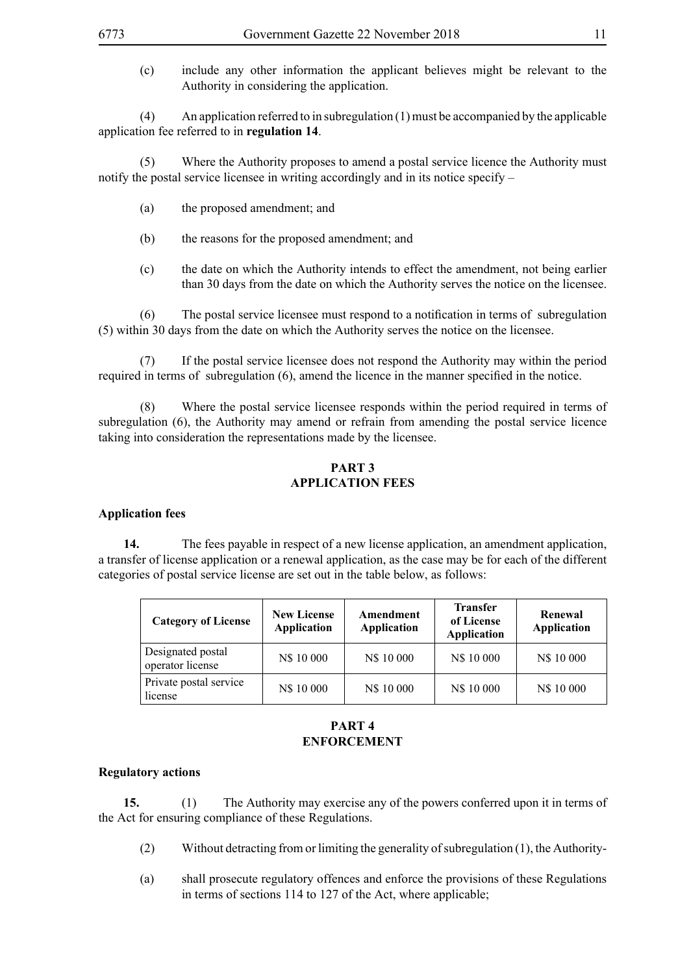(c) include any other information the applicant believes might be relevant to the Authority in considering the application.

(4) An application referred to in subregulation (1) must be accompanied by the applicable application fee referred to in **regulation 14**.

(5) Where the Authority proposes to amend a postal service licence the Authority must notify the postal service licensee in writing accordingly and in its notice specify –

- (a) the proposed amendment; and
- (b) the reasons for the proposed amendment; and
- (c) the date on which the Authority intends to effect the amendment, not being earlier than 30 days from the date on which the Authority serves the notice on the licensee.

 (6) The postal service licensee must respond to a notification in terms of subregulation (5) within 30 days from the date on which the Authority serves the notice on the licensee.

If the postal service licensee does not respond the Authority may within the period required in terms of subregulation (6), amend the licence in the manner specified in the notice.

(8) Where the postal service licensee responds within the period required in terms of subregulation (6), the Authority may amend or refrain from amending the postal service licence taking into consideration the representations made by the licensee.

## **PART 3 APPLICATION FEES**

### **Application fees**

**14.** The fees payable in respect of a new license application, an amendment application, a transfer of license application or a renewal application, as the case may be for each of the different categories of postal service license are set out in the table below, as follows:

| <b>Category of License</b>            | <b>New License</b><br><b>Application</b> | Amendment<br><b>Application</b> | <b>Transfer</b><br>of License<br><b>Application</b> | Renewal<br><b>Application</b> |
|---------------------------------------|------------------------------------------|---------------------------------|-----------------------------------------------------|-------------------------------|
| Designated postal<br>operator license | N\$ 10 000                               | N\$ 10 000                      | N\$ 10 000                                          | N\$ 10 000                    |
| Private postal service<br>license     | N\$ 10 000                               | N\$ 10 000                      | N\$ 10 000                                          | N\$ 10 000                    |

# **PART 4 ENFORCEMENT**

### **Regulatory actions**

**15.** (1) The Authority may exercise any of the powers conferred upon it in terms of the Act for ensuring compliance of these Regulations.

- (2) Without detracting from or limiting the generality of subregulation (1), the Authority-
- (a) shall prosecute regulatory offences and enforce the provisions of these Regulations in terms of sections 114 to 127 of the Act, where applicable;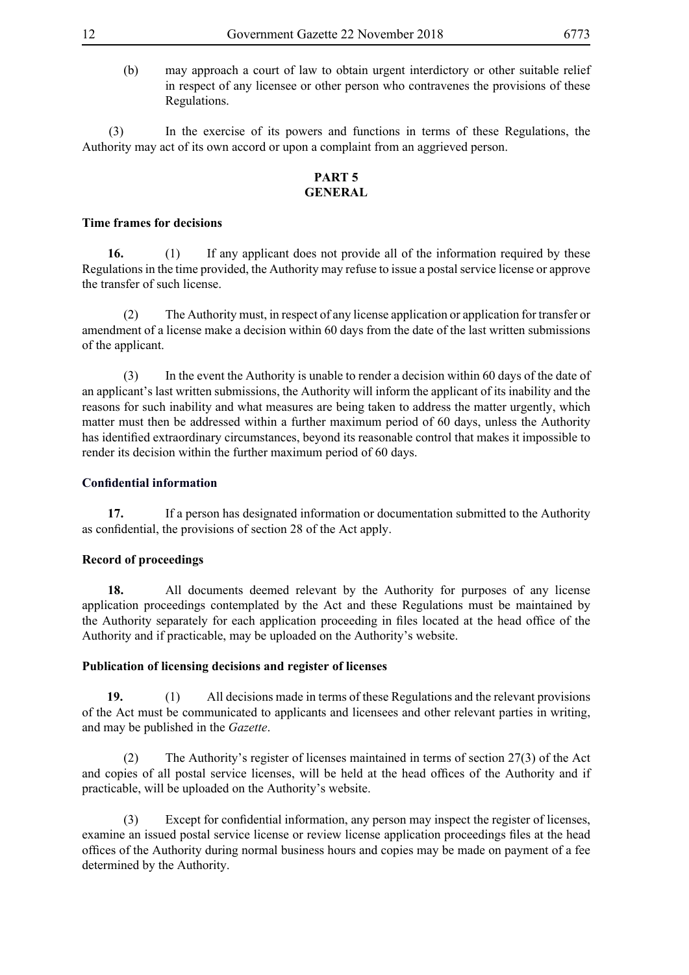(b) may approach a court of law to obtain urgent interdictory or other suitable relief in respect of any licensee or other person who contravenes the provisions of these Regulations.

(3) In the exercise of its powers and functions in terms of these Regulations, the Authority may act of its own accord or upon a complaint from an aggrieved person.

## **PART 5 GENERAL**

## **Time frames for decisions**

**16.** (1) If any applicant does not provide all of the information required by these Regulations in the time provided, the Authority may refuse to issue a postal service license or approve the transfer of such license.

(2) The Authority must, in respect of any license application or application for transfer or amendment of a license make a decision within 60 days from the date of the last written submissions of the applicant.

(3) In the event the Authority is unable to render a decision within 60 days of the date of an applicant's last written submissions, the Authority will inform the applicant of its inability and the reasons for such inability and what measures are being taken to address the matter urgently, which matter must then be addressed within a further maximum period of 60 days, unless the Authority has identified extraordinary circumstances, beyond its reasonable control that makes it impossible to render its decision within the further maximum period of 60 days.

## **Confidential information**

**17.** If a person has designated information or documentation submitted to the Authority as confidential, the provisions of section 28 of the Act apply.

## **Record of proceedings**

**18.** All documents deemed relevant by the Authority for purposes of any license application proceedings contemplated by the Act and these Regulations must be maintained by the Authority separately for each application proceeding in files located at the head office of the Authority and if practicable, may be uploaded on the Authority's website.

## **Publication of licensing decisions and register of licenses**

**19.** (1) All decisions made in terms of these Regulations and the relevant provisions of the Act must be communicated to applicants and licensees and other relevant parties in writing, and may be published in the *Gazette*.

(2) The Authority's register of licenses maintained in terms of section 27(3) of the Act and copies of all postal service licenses, will be held at the head offices of the Authority and if practicable, will be uploaded on the Authority's website.

 (3) Except for confidential information, any person may inspect the register of licenses, examine an issued postal service license or review license application proceedings files at the head offices of the Authority during normal business hours and copies may be made on payment of a fee determined by the Authority.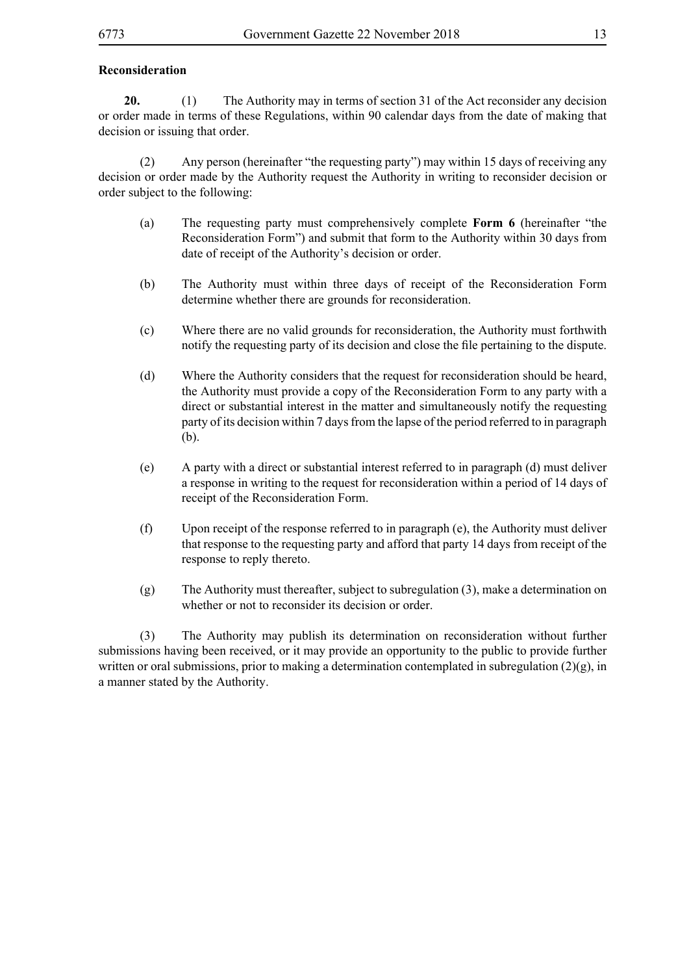## **Reconsideration**

**20.** (1) The Authority may in terms of section 31 of the Act reconsider any decision or order made in terms of these Regulations, within 90 calendar days from the date of making that decision or issuing that order.

(2) Any person (hereinafter "the requesting party") may within 15 days of receiving any decision or order made by the Authority request the Authority in writing to reconsider decision or order subject to the following:

- (a) The requesting party must comprehensively complete **Form 6** (hereinafter "the Reconsideration Form") and submit that form to the Authority within 30 days from date of receipt of the Authority's decision or order.
- (b) The Authority must within three days of receipt of the Reconsideration Form determine whether there are grounds for reconsideration.
- (c) Where there are no valid grounds for reconsideration, the Authority must forthwith notify the requesting party of its decision and close the file pertaining to the dispute.
- (d) Where the Authority considers that the request for reconsideration should be heard, the Authority must provide a copy of the Reconsideration Form to any party with a direct or substantial interest in the matter and simultaneously notify the requesting party of its decision within 7 days from the lapse of the period referred to in paragraph (b).
- (e) A party with a direct or substantial interest referred to in paragraph (d) must deliver a response in writing to the request for reconsideration within a period of 14 days of receipt of the Reconsideration Form.
- (f) Upon receipt of the response referred to in paragraph (e), the Authority must deliver that response to the requesting party and afford that party 14 days from receipt of the response to reply thereto.
- (g) The Authority must thereafter, subject to subregulation (3), make a determination on whether or not to reconsider its decision or order.

(3) The Authority may publish its determination on reconsideration without further submissions having been received, or it may provide an opportunity to the public to provide further written or oral submissions, prior to making a determination contemplated in subregulation  $(2)(g)$ , in a manner stated by the Authority.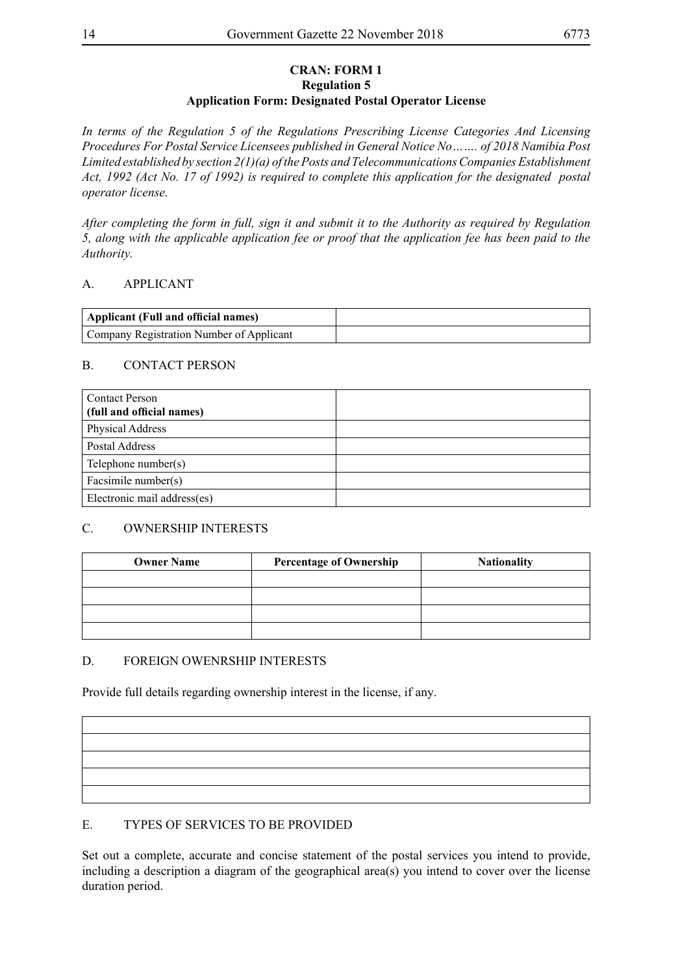# **CRAN: FORM 1 Regulation 5 Application Form: Designated Postal Operator License**

*In terms of the Regulation 5 of the Regulations Prescribing License Categories And Licensing Procedures For Postal Service Licensees published in General Notice No……. of 2018 Namibia Post Limited established by section 2(1)(a) of the Posts and Telecommunications Companies Establishment Act, 1992 (Act No. 17 of 1992) is required to complete this application for the designated postal operator license.*

*After completing the form in full, sign it and submit it to the Authority as required by Regulation 5, along with the applicable application fee or proof that the application fee has been paid to the Authority.* 

# A. APPLICANT

| Applicant (Full and official names)      |  |
|------------------------------------------|--|
| Company Registration Number of Applicant |  |

# B. CONTACT PERSON

| <b>Contact Person</b><br>(full and official names) |  |
|----------------------------------------------------|--|
| Physical Address                                   |  |
| Postal Address                                     |  |
| Telephone number(s)                                |  |
| Facsimile number(s)                                |  |
| Electronic mail address(es)                        |  |

# C. OWNERSHIP INTERESTS

| <b>Owner Name</b> | <b>Percentage of Ownership</b> | <b>Nationality</b> |
|-------------------|--------------------------------|--------------------|
|                   |                                |                    |
|                   |                                |                    |
|                   |                                |                    |
|                   |                                |                    |

# D. FOREIGN OWENRSHIP INTERESTS

Provide full details regarding ownership interest in the license, if any.

# E. TYPES OF SERVICES TO BE PROVIDED

Set out a complete, accurate and concise statement of the postal services you intend to provide, including a description a diagram of the geographical area(s) you intend to cover over the license duration period.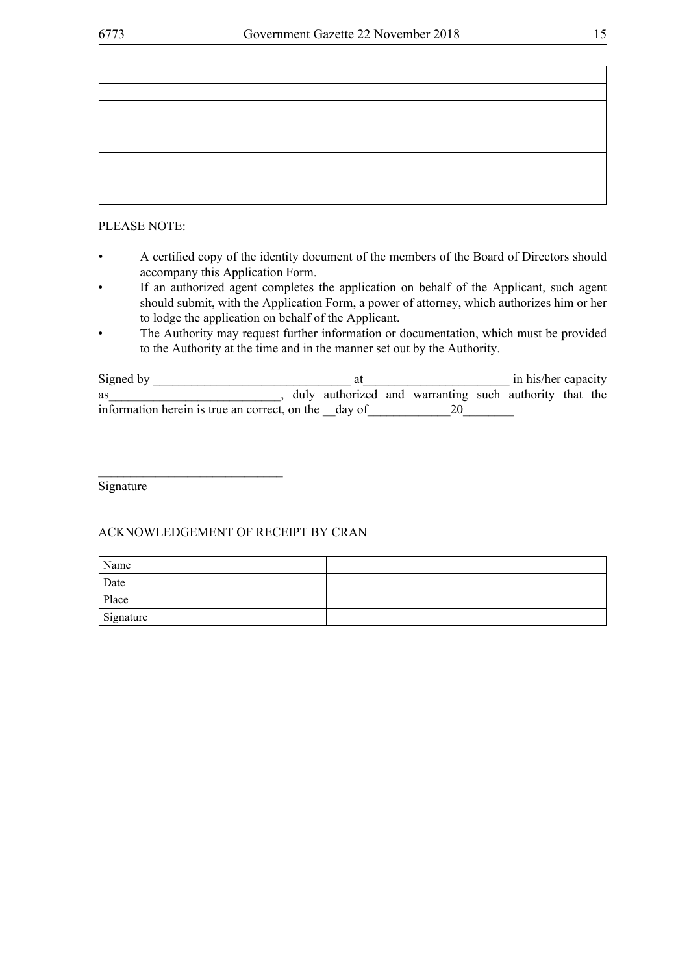| <u> 1980 - Johann Stein, marwolaethau a bhann an t-Amhair an t-Amhair an t-Amhair an t-Amhair an t-Amhair an t-A</u> |  |  |
|----------------------------------------------------------------------------------------------------------------------|--|--|
|                                                                                                                      |  |  |
| the control of the control of the control of the control of the control of                                           |  |  |
|                                                                                                                      |  |  |
| <u> 1989 - Johann Barn, amerikansk politiker (</u>                                                                   |  |  |
|                                                                                                                      |  |  |
| <u> 1989 - Johann Barn, mars ann an t-</u>                                                                           |  |  |
|                                                                                                                      |  |  |

# PLEASE NOTE:

- • A certified copy of the identity document of the members of the Board of Directors should accompany this Application Form.
- If an authorized agent completes the application on behalf of the Applicant, such agent should submit, with the Application Form, a power of attorney, which authorizes him or her to lodge the application on behalf of the Applicant.
- The Authority may request further information or documentation, which must be provided to the Authority at the time and in the manner set out by the Authority.

| Signed by                                            |  |                                                        | in his/her capacity |  |
|------------------------------------------------------|--|--------------------------------------------------------|---------------------|--|
| as                                                   |  | duly authorized and warranting such authority that the |                     |  |
| information herein is true an correct, on the day of |  |                                                        |                     |  |

Signature

# ACKNOWLEDGEMENT OF RECEIPT BY CRAN

\_\_\_\_\_\_\_\_\_\_\_\_\_\_\_\_\_\_\_\_\_\_\_\_\_\_\_\_\_

| Name      |  |
|-----------|--|
| Date      |  |
| Place     |  |
| Signature |  |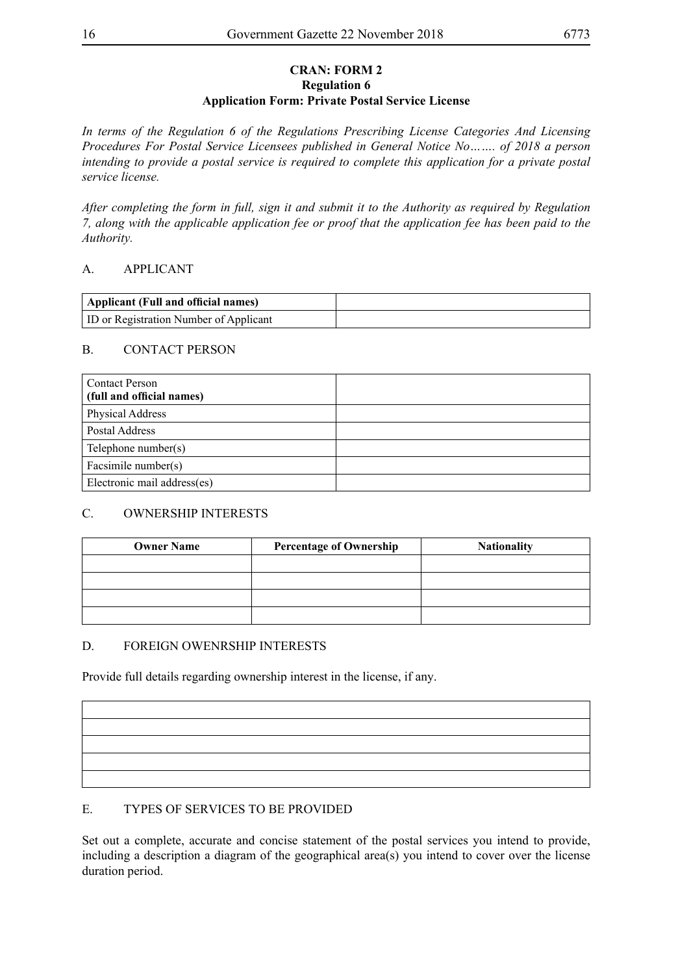# **CRAN: FORM 2 Regulation 6 Application Form: Private Postal Service License**

*In terms of the Regulation 6 of the Regulations Prescribing License Categories And Licensing Procedures For Postal Service Licensees published in General Notice No……. of 2018 a person intending to provide a postal service is required to complete this application for a private postal service license.*

*After completing the form in full, sign it and submit it to the Authority as required by Regulation 7, along with the applicable application fee or proof that the application fee has been paid to the Authority.* 

# A. APPLICANT

| Applicant (Full and official names)           |  |
|-----------------------------------------------|--|
| <b>ID</b> or Registration Number of Applicant |  |

# B. CONTACT PERSON

| <b>Contact Person</b><br>(full and official names) |  |
|----------------------------------------------------|--|
| Physical Address                                   |  |
| Postal Address                                     |  |
| Telephone number(s)                                |  |
| Facsimile number(s)                                |  |
| Electronic mail address(es)                        |  |

# C. OWNERSHIP INTERESTS

| <b>Owner Name</b> | <b>Percentage of Ownership</b> | <b>Nationality</b> |
|-------------------|--------------------------------|--------------------|
|                   |                                |                    |
|                   |                                |                    |
|                   |                                |                    |
|                   |                                |                    |

## D. FOREIGN OWENRSHIP INTERESTS

Provide full details regarding ownership interest in the license, if any.

# E. TYPES OF SERVICES TO BE PROVIDED

Set out a complete, accurate and concise statement of the postal services you intend to provide, including a description a diagram of the geographical area(s) you intend to cover over the license duration period.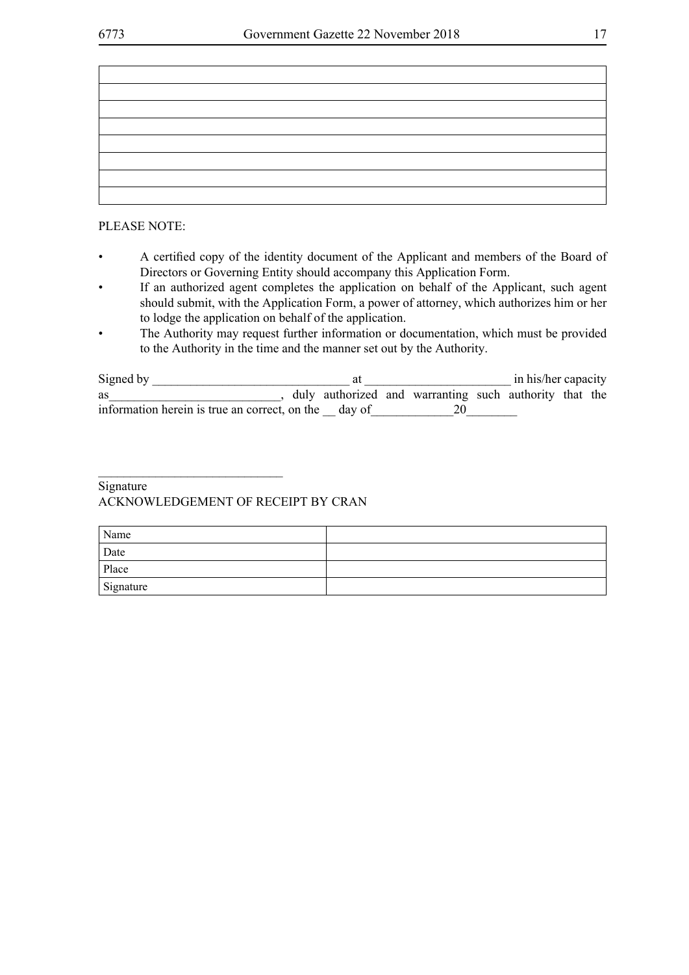| <u> 1989 - Johann Barbara, martxa alemaniar a</u> |  |
|---------------------------------------------------|--|
| the control of the control of the control of the  |  |
| <u> 1980 - Johann Barbara, martxa a</u>           |  |
|                                                   |  |
| <u> 1989 - Johann Barn, mars ann an t-</u>        |  |
|                                                   |  |

# PLEASE NOTE:

- • A certified copy of the identity document of the Applicant and members of the Board of Directors or Governing Entity should accompany this Application Form.
- If an authorized agent completes the application on behalf of the Applicant, such agent should submit, with the Application Form, a power of attorney, which authorizes him or her to lodge the application on behalf of the application.
- The Authority may request further information or documentation, which must be provided to the Authority in the time and the manner set out by the Authority.

| Signed by                                            |  |                                                        | in his/her capacity |  |
|------------------------------------------------------|--|--------------------------------------------------------|---------------------|--|
| as                                                   |  | duly authorized and warranting such authority that the |                     |  |
| information herein is true an correct, on the day of |  |                                                        |                     |  |

# Signature ACKNOWLEDGEMENT OF RECEIPT BY CRAN

\_\_\_\_\_\_\_\_\_\_\_\_\_\_\_\_\_\_\_\_\_\_\_\_\_\_\_\_\_

| Name      |  |
|-----------|--|
| Date      |  |
| Place     |  |
| Signature |  |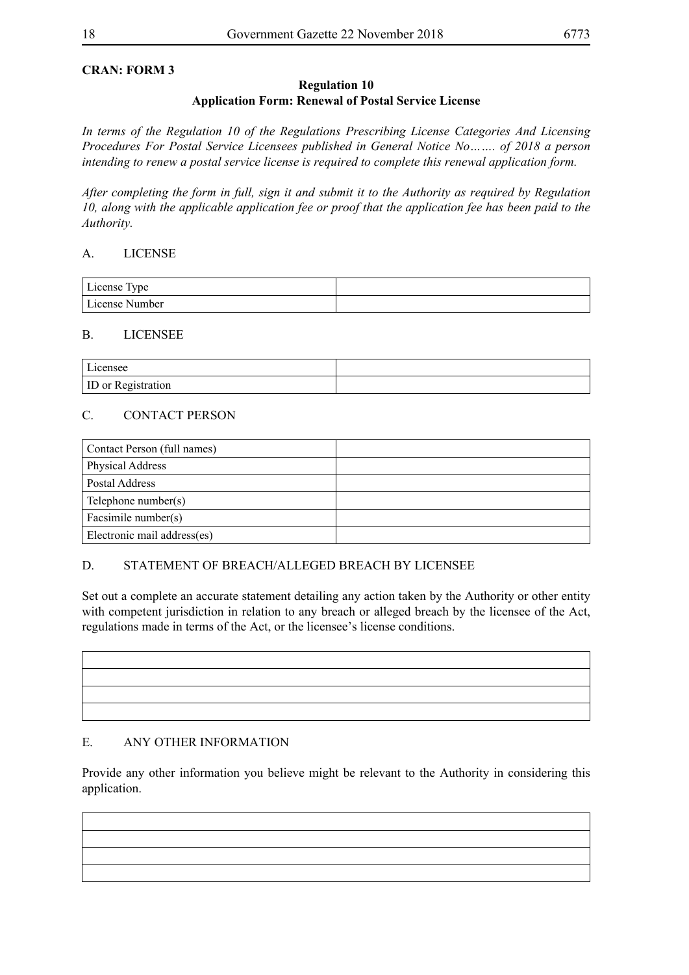# **CRAN: FORM 3**

# **Regulation 10 Application Form: Renewal of Postal Service License**

*In terms of the Regulation 10 of the Regulations Prescribing License Categories And Licensing Procedures For Postal Service Licensees published in General Notice No……. of 2018 a person intending to renew a postal service license is required to complete this renewal application form.*

*After completing the form in full, sign it and submit it to the Authority as required by Regulation 10, along with the applicable application fee or proof that the application fee has been paid to the Authority.*

# A. LICENSE

| License Type   |  |
|----------------|--|
| License Number |  |

# B. LICENSEE

| $\mathbf{r}$ .<br>Licensee |  |
|----------------------------|--|
| <b>ID</b> or Registration  |  |

# C. CONTACT PERSON

| Contact Person (full names) |  |
|-----------------------------|--|
| Physical Address            |  |
| Postal Address              |  |
| Telephone number(s)         |  |
| Facsimile number(s)         |  |
| Electronic mail address(es) |  |

# D. STATEMENT OF BREACH/ALLEGED BREACH BY LICENSEE

Set out a complete an accurate statement detailing any action taken by the Authority or other entity with competent jurisdiction in relation to any breach or alleged breach by the licensee of the Act, regulations made in terms of the Act, or the licensee's license conditions.

# E. ANY OTHER INFORMATION

Provide any other information you believe might be relevant to the Authority in considering this application.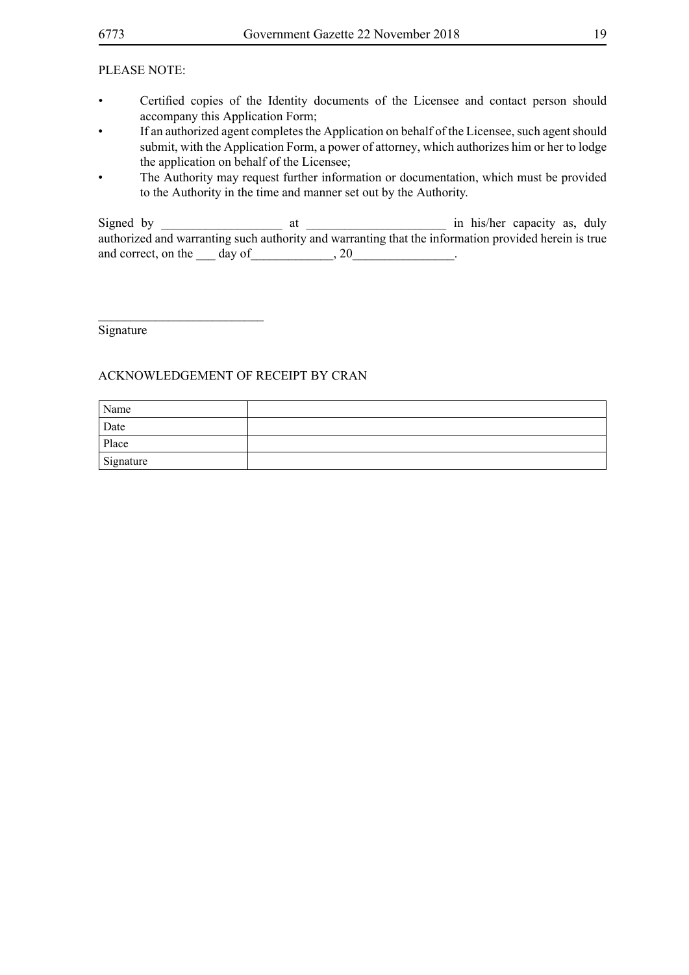# PLEASE NOTE:

- Certified copies of the Identity documents of the Licensee and contact person should accompany this Application Form;
- If an authorized agent completes the Application on behalf of the Licensee, such agent should submit, with the Application Form, a power of attorney, which authorizes him or her to lodge the application on behalf of the Licensee;
- The Authority may request further information or documentation, which must be provided to the Authority in the time and manner set out by the Authority.

Signed by \_\_\_\_\_\_\_\_\_\_\_\_\_\_\_\_\_\_\_ at \_\_\_\_\_\_\_\_\_\_\_\_\_\_\_\_\_\_\_\_\_\_ in his/her capacity as, duly authorized and warranting such authority and warranting that the information provided herein is true and correct, on the day of the  $\frac{1}{20}$ 

Signature

 $\_$ 

# ACKNOWLEDGEMENT OF RECEIPT BY CRAN

| Name      |  |
|-----------|--|
| Date      |  |
| Place     |  |
| Signature |  |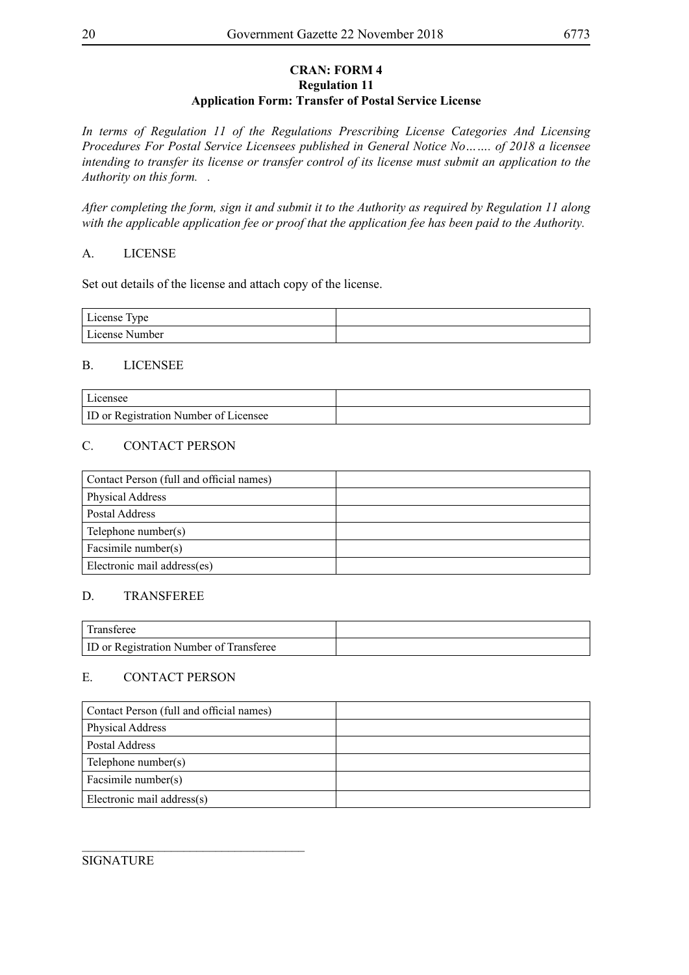# **CRAN: FORM 4 Regulation 11 Application Form: Transfer of Postal Service License**

*In terms of Regulation 11 of the Regulations Prescribing License Categories And Licensing Procedures For Postal Service Licensees published in General Notice No……. of 2018 a licensee intending to transfer its license or transfer control of its license must submit an application to the Authority on this form. .*

*After completing the form, sign it and submit it to the Authority as required by Regulation 11 along with the applicable application fee or proof that the application fee has been paid to the Authority.* 

# A. LICENSE

Set out details of the license and attach copy of the license.

| License Type   |  |
|----------------|--|
| License Number |  |

# B. LICENSEE

| Licensee                                     |  |
|----------------------------------------------|--|
| <b>ID</b> or Registration Number of Licensee |  |

# C. CONTACT PERSON

| Contact Person (full and official names) |  |
|------------------------------------------|--|
| <b>Physical Address</b>                  |  |
| Postal Address                           |  |
| Telephone number(s)                      |  |
| Facsimile number(s)                      |  |
| Electronic mail address(es)              |  |

## D. TRANSFEREE

| Transferee                                     |  |
|------------------------------------------------|--|
| <b>ID</b> or Registration Number of Transferee |  |

# E. CONTACT PERSON

| Contact Person (full and official names) |  |
|------------------------------------------|--|
| Physical Address                         |  |
| Postal Address                           |  |
| Telephone number(s)                      |  |
| Facsimile number(s)                      |  |
| Electronic mail address(s)               |  |

\_\_\_\_\_\_\_\_\_\_\_\_\_\_\_\_\_\_\_\_\_\_\_\_\_\_\_\_\_\_\_\_\_\_\_ SIGNATURE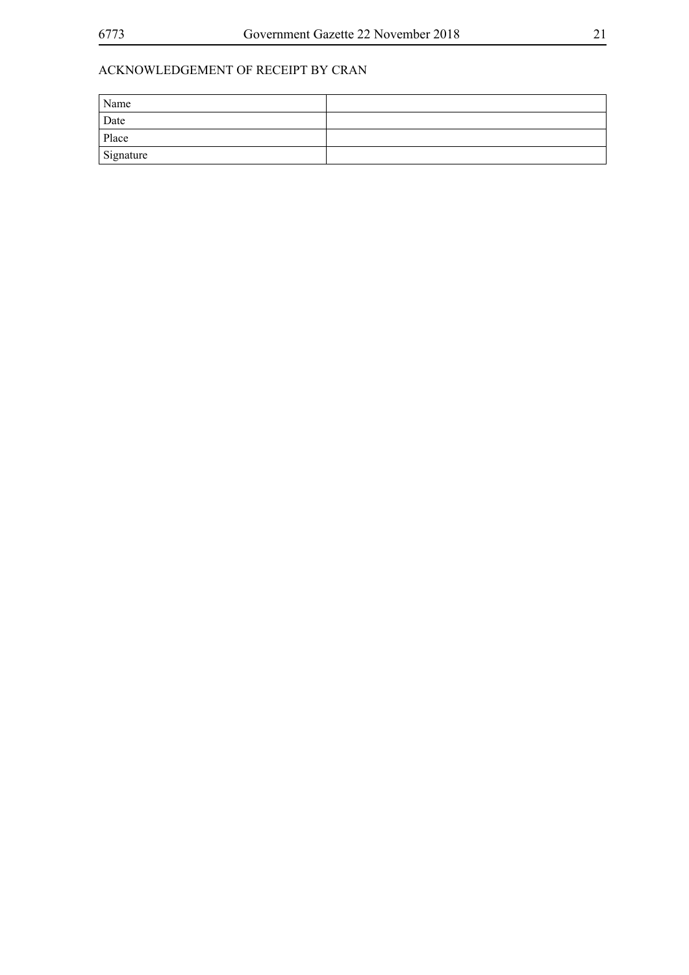| Name      |  |
|-----------|--|
| Date      |  |
| Place     |  |
| Signature |  |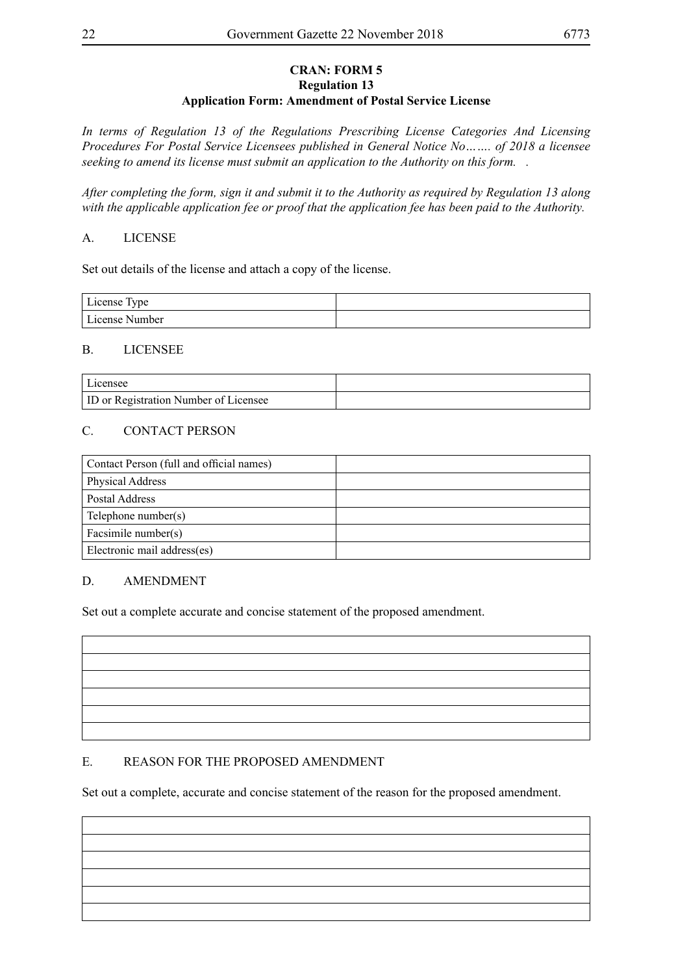# **CRAN: FORM 5 Regulation 13 Application Form: Amendment of Postal Service License**

*In terms of Regulation 13 of the Regulations Prescribing License Categories And Licensing Procedures For Postal Service Licensees published in General Notice No……. of 2018 a licensee seeking to amend its license must submit an application to the Authority on this form. .*

*After completing the form, sign it and submit it to the Authority as required by Regulation 13 along with the applicable application fee or proof that the application fee has been paid to the Authority.* 

# A. LICENSE

Set out details of the license and attach a copy of the license.

| License Type   |  |
|----------------|--|
| License Number |  |

# B. LICENSEE

| Licensee                                     |  |  |
|----------------------------------------------|--|--|
| <b>ID</b> or Registration Number of Licensee |  |  |

# C. CONTACT PERSON

| Contact Person (full and official names) |  |
|------------------------------------------|--|
| Physical Address                         |  |
| Postal Address                           |  |
| Telephone number(s)                      |  |
| Facsimile number(s)                      |  |
| Electronic mail address(es)              |  |

# D. AMENDMENT

Set out a complete accurate and concise statement of the proposed amendment.

# E. REASON FOR THE PROPOSED AMENDMENT

Set out a complete, accurate and concise statement of the reason for the proposed amendment.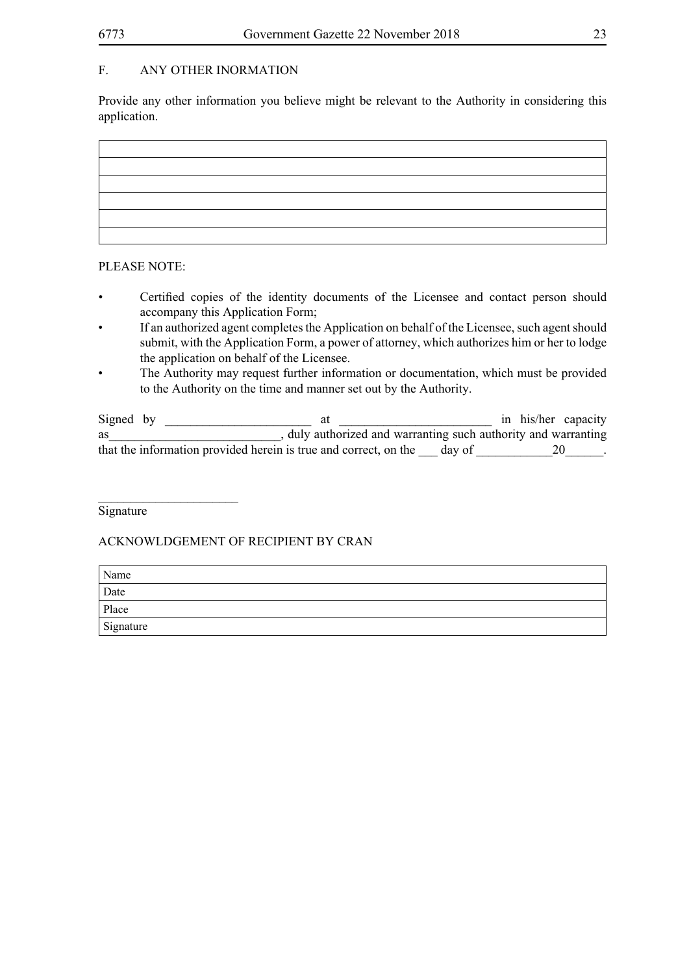# F. ANY OTHER INORMATION

Provide any other information you believe might be relevant to the Authority in considering this application.



# PLEASE NOTE:

- • Certified copies of the identity documents of the Licensee and contact person should accompany this Application Form;
- If an authorized agent completes the Application on behalf of the Licensee, such agent should submit, with the Application Form, a power of attorney, which authorizes him or her to lodge the application on behalf of the Licensee.
- The Authority may request further information or documentation, which must be provided to the Authority on the time and manner set out by the Authority.

| Signed by |                                                                         | in his/her capacity |    |
|-----------|-------------------------------------------------------------------------|---------------------|----|
| as        | duly authorized and warranting such authority and warranting            |                     |    |
|           | that the information provided herein is true and correct, on the day of |                     | 20 |

Signature

 $\overline{\phantom{a}}$  , where  $\overline{\phantom{a}}$  , where  $\overline{\phantom{a}}$  , where  $\overline{\phantom{a}}$ 

# ACKNOWLDGEMENT OF RECIPIENT BY CRAN

| Name      |  |
|-----------|--|
| Date      |  |
| Place     |  |
| Signature |  |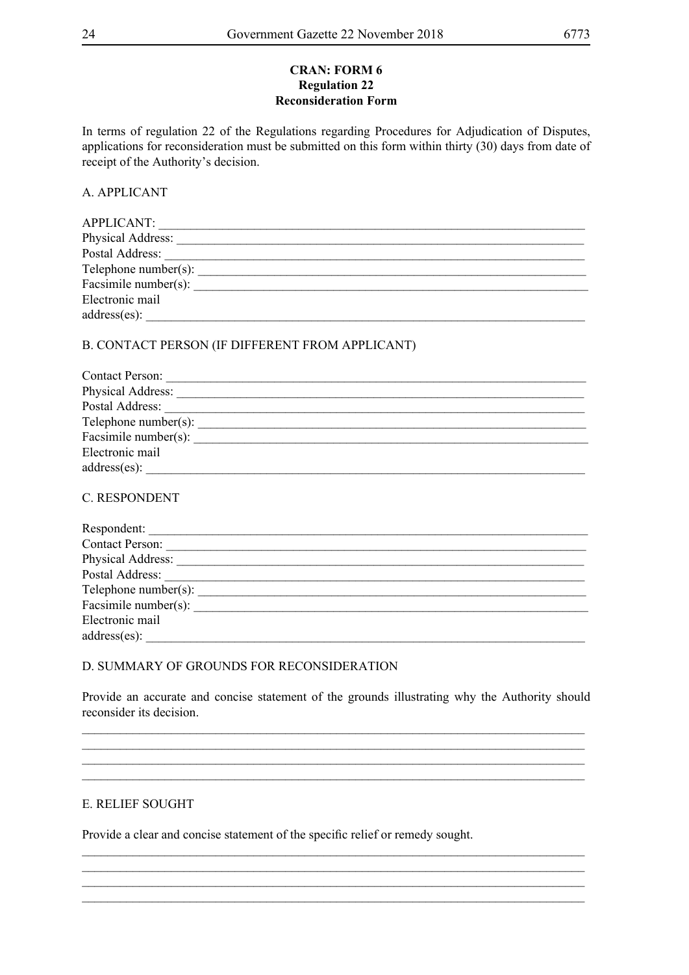# **CRAN: FORM 6 Regulation 22 Reconsideration Form**

In terms of regulation 22 of the Regulations regarding Procedures for Adjudication of Disputes, applications for reconsideration must be submitted on this form within thirty (30) days from date of receipt of the Authority's decision.

# A. APPLICANT

| <b>APPLICANT:</b>    |
|----------------------|
| Physical Address:    |
| Postal Address:      |
| Telephone number(s): |
| Facsimile number(s): |
| Electronic mail      |
| $address(es)$ :      |

# B. CONTACT PERSON (IF DIFFERENT FROM APPLICANT)

| <b>Contact Person:</b> |
|------------------------|
| Physical Address:      |
| Postal Address:        |
| Telephone number(s):   |
| Facsimile number(s):   |
| Electronic mail        |
| $address(es)$ :        |

## C. RESPONDENT

| Respondent:          |
|----------------------|
| Contact Person:      |
| Physical Address:    |
| Postal Address:      |
| Telephone number(s): |
| Facsimile number(s): |
| Electronic mail      |
| $address(es)$ :      |

## D. SUMMARY OF GROUNDS FOR RECONSIDERATION

Provide an accurate and concise statement of the grounds illustrating why the Authority should reconsider its decision.

 $\_$  , and the set of the set of the set of the set of the set of the set of the set of the set of the set of the set of the set of the set of the set of the set of the set of the set of the set of the set of the set of th \_\_\_\_\_\_\_\_\_\_\_\_\_\_\_\_\_\_\_\_\_\_\_\_\_\_\_\_\_\_\_\_\_\_\_\_\_\_\_\_\_\_\_\_\_\_\_\_\_\_\_\_\_\_\_\_\_\_\_\_\_\_\_\_\_\_\_\_\_\_\_\_\_\_\_\_\_\_\_

\_\_\_\_\_\_\_\_\_\_\_\_\_\_\_\_\_\_\_\_\_\_\_\_\_\_\_\_\_\_\_\_\_\_\_\_\_\_\_\_\_\_\_\_\_\_\_\_\_\_\_\_\_\_\_\_\_\_\_\_\_\_\_\_\_\_\_\_\_\_\_\_\_\_\_\_\_\_\_

\_\_\_\_\_\_\_\_\_\_\_\_\_\_\_\_\_\_\_\_\_\_\_\_\_\_\_\_\_\_\_\_\_\_\_\_\_\_\_\_\_\_\_\_\_\_\_\_\_\_\_\_\_\_\_\_\_\_\_\_\_\_\_\_\_\_\_\_\_\_\_\_\_\_\_\_\_\_\_  $\_$  , and the set of the set of the set of the set of the set of the set of the set of the set of the set of the set of the set of the set of the set of the set of the set of the set of the set of the set of the set of th \_\_\_\_\_\_\_\_\_\_\_\_\_\_\_\_\_\_\_\_\_\_\_\_\_\_\_\_\_\_\_\_\_\_\_\_\_\_\_\_\_\_\_\_\_\_\_\_\_\_\_\_\_\_\_\_\_\_\_\_\_\_\_\_\_\_\_\_\_\_\_\_\_\_\_\_\_\_\_ \_\_\_\_\_\_\_\_\_\_\_\_\_\_\_\_\_\_\_\_\_\_\_\_\_\_\_\_\_\_\_\_\_\_\_\_\_\_\_\_\_\_\_\_\_\_\_\_\_\_\_\_\_\_\_\_\_\_\_\_\_\_\_\_\_\_\_\_\_\_\_\_\_\_\_\_\_\_\_

# E. RELIEF SOUGHT

Provide a clear and concise statement of the specific relief or remedy sought.